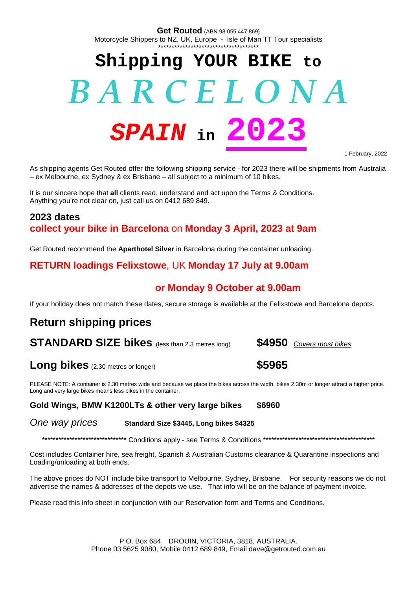**Get Routed** (ABN 98 055 447 869) Motorcycle Shippers to NZ, UK, Europe - Isle of Man TT Tour specialists \*\*\*\*\*\*\*\*\*\*\*\*\*\*\*\*\*\*\*\*\*\*\*\*\*\*\*\*\*\*\*\*\*\*\*\*\*

# **Shipping YOUR BIKE to** *B A R C E L O N A SPAIN* **in 2023**

1 February, 2022

As shipping agents Get Routed offer the following shipping service - for 2023 there will be shipments from Australia – ex Melbourne, ex Sydney & ex Brisbane – all subject to a minimum of 10 bikes.

It is our sincere hope that **all** clients read, understand and act upon the Terms & Conditions. Anything you're not clear on, just call us on 0412 689 849.

## **2023 dates collect your bike in Barcelona** on **Monday 3 April, 2023 at 9am**

Get Routed recommend the **Aparthotel Silver** in Barcelona during the container unloading.

## **RETURN loadings Felixstowe**, UK **Monday 17 July at 9.00am**

## **or Monday 9 October at 9.00am**

If your holiday does not match these dates, secure storage is available at the Felixstowe and Barcelona depots.

## **Return shipping prices**

**STANDARD SIZE bikes** (less than 2.3 metres long) **\$4950** *Covers most bikes*

## **Long bikes** (2.30 metres or longer) **\$5965**

PLEASE NOTE: A container is 2.30 metres wide and because we place the bikes across the width, bikes 2.30m or longer attract a higher price. Long and very large bikes means less bikes in the container.

#### **Gold Wings, BMW K1200LTs & other very large bikes \$6960**

*One way prices* **Standard Size \$3445, Long bikes \$4325**

\*\*\*\*\*\*\*\*\*\*\*\*\*\*\*\*\*\*\*\*\*\*\*\*\*\*\*\*\*\*\* Conditions apply - see Terms & Conditions \*\*\*\*\*\*\*\*\*\*\*\*\*\*\*\*\*\*\*\*\*\*\*\*\*\*\*\*\*\*\*\*\*\*\*\*\*\*\*\*\*

Cost includes Container hire, sea freight, Spanish & Australian Customs clearance & Quarantine inspections and Loading/unloading at both ends.

The above prices do NOT include bike transport to Melbourne, Sydney, Brisbane. For security reasons we do not advertise the names & addresses of the depots we use. That info will be on the balance of payment invoice.

Please read this info sheet in conjunction with our Reservation form and Terms and Conditions.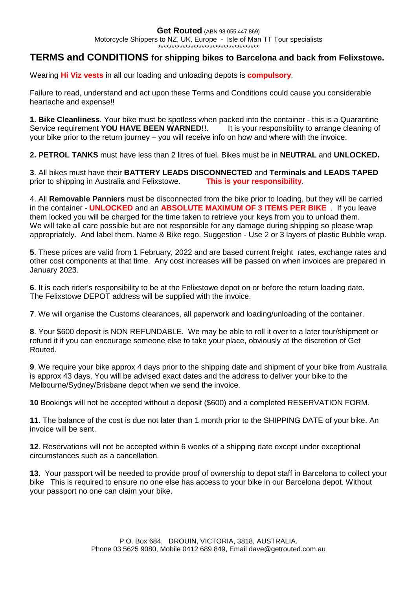## **TERMS and CONDITIONS for shipping bikes to Barcelona and back from Felixstowe.**

Wearing **Hi Viz vests** in all our loading and unloading depots is **compulsory**.

Failure to read, understand and act upon these Terms and Conditions could cause you considerable heartache and expense!!

**1. Bike Cleanliness**. Your bike must be spotless when packed into the container - this is a Quarantine Service requirement **YOU HAVE BEEN WARNED!!.** It is your responsibility to arrange cleaning of your bike prior to the return journey – you will receive info on how and where with the invoice.

**2. PETROL TANKS** must have less than 2 litres of fuel. Bikes must be in **NEUTRAL** and **UNLOCKED.**

**3**. All bikes must have their **BATTERY LEADS DISCONNECTED** and **Terminals and LEADS TAPED** prior to shipping in Australia and Felixstowe. **This is your responsibility**.

4. All **Removable Panniers** must be disconnected from the bike prior to loading, but they will be carried in the container - **UNLOCKED** and an **ABSOLUTE MAXIMUM OF 3 ITEMS PER BIKE** . If you leave them locked you will be charged for the time taken to retrieve your keys from you to unload them. We will take all care possible but are not responsible for any damage during shipping so please wrap appropriately. And label them. Name & Bike rego. Suggestion - Use 2 or 3 layers of plastic Bubble wrap.

**5**. These prices are valid from 1 February, 2022 and are based current freight rates, exchange rates and other cost components at that time. Any cost increases will be passed on when invoices are prepared in January 2023.

**6**. It is each rider's responsibility to be at the Felixstowe depot on or before the return loading date. The Felixstowe DEPOT address will be supplied with the invoice.

**7**. We will organise the Customs clearances, all paperwork and loading/unloading of the container.

**8**. Your \$600 deposit is NON REFUNDABLE. We may be able to roll it over to a later tour/shipment or refund it if you can encourage someone else to take your place, obviously at the discretion of Get Routed.

**9**. We require your bike approx 4 days prior to the shipping date and shipment of your bike from Australia is approx 43 days. You will be advised exact dates and the address to deliver your bike to the Melbourne/Sydney/Brisbane depot when we send the invoice.

**10** Bookings will not be accepted without a deposit (\$600) and a completed RESERVATION FORM.

**11**. The balance of the cost is due not later than 1 month prior to the SHIPPING DATE of your bike. An invoice will be sent.

**12**. Reservations will not be accepted within 6 weeks of a shipping date except under exceptional circumstances such as a cancellation.

**13.** Your passport will be needed to provide proof of ownership to depot staff in Barcelona to collect your bike This is required to ensure no one else has access to your bike in our Barcelona depot. Without your passport no one can claim your bike.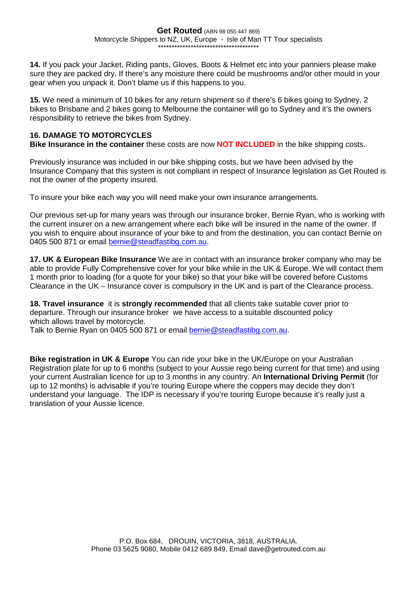**14.** If you pack your Jacket, Riding pants, Gloves, Boots & Helmet etc into your panniers please make sure they are packed dry. If there's any moisture there could be mushrooms and/or other mould in your gear when you unpack it. Don't blame us if this happens to you.

**15.** We need a minimum of 10 bikes for any return shipment so if there's 6 bikes going to Sydney, 2 bikes to Brisbane and 2 bikes going to Melbourne the container will go to Sydney and it's the owners responsibility to retrieve the bikes from Sydney.

#### **16. DAMAGE TO MOTORCYCLES**

**Bike Insurance in the container** these costs are now **NOT INCLUDED** in the bike shipping costs.

Previously insurance was included in our bike shipping costs, but we have been advised by the Insurance Company that this system is not compliant in respect of Insurance legislation as Get Routed is not the owner of the property insured.

To insure your bike each way you will need make your own insurance arrangements.

Our previous set-up for many years was through our insurance broker, Bernie Ryan, who is working with the current insurer on a new arrangement where each bike will be insured in the name of the owner. If you wish to enquire about insurance of your bike to and from the destination, you can contact Bernie on 0405 500 871 or email [bernie@steadfastibg.com.au](mailto:bernie@steadfastibg.com.au).

**17. UK & European Bike Insurance** We are in contact with an insurance broker company who may be able to provide Fully Comprehensive cover for your bike while in the UK & Europe. We will contact them 1 month prior to loading (for a quote for your bike) so that your bike will be covered before Customs Clearance in the UK – Insurance cover is compulsory in the UK and is part of the Clearance process.

**18. Travel insurance** it is **strongly recommended** that all clients take suitable cover prior to departure. Through our insurance broker we have access to a suitable discounted policy which allows travel by motorcycle.

Talk to Bernie Ryan on 0405 500 871 or email **[bernie@steadfastibg.com.au](mailto:bernie@steadfastibg.com.au).** 

**Bike registration in UK & Europe** You can ride your bike in the UK/Europe on your Australian Registration plate for up to 6 months (subject to your Aussie rego being current for that time) and using your current Australian licence for up to 3 months in any country. An **International Driving Permit** (for up to 12 months) is advisable if you're touring Europe where the coppers may decide they don't understand your language. The IDP is necessary if you're touring Europe because it's really just a translation of your Aussie licence.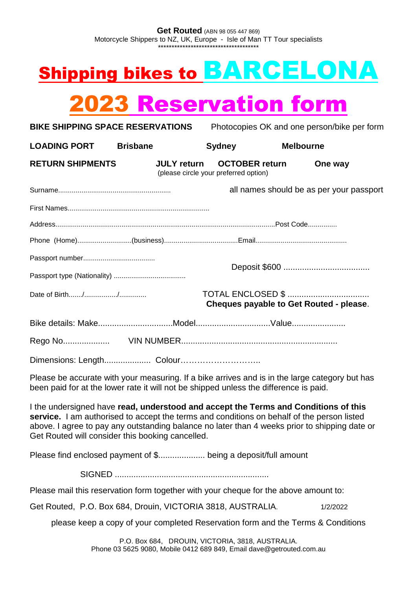## Shipping bikes to BARCELONA

|                                                                                                                                                                                                                                                                                                                                        | <b>2023 Reservation form</b> |                                                                |                  |                                          |  |
|----------------------------------------------------------------------------------------------------------------------------------------------------------------------------------------------------------------------------------------------------------------------------------------------------------------------------------------|------------------------------|----------------------------------------------------------------|------------------|------------------------------------------|--|
| <b>BIKE SHIPPING SPACE RESERVATIONS</b><br>Photocopies OK and one person/bike per form                                                                                                                                                                                                                                                 |                              |                                                                |                  |                                          |  |
| <b>LOADING PORT</b>                                                                                                                                                                                                                                                                                                                    | <b>Brisbane</b>              | <b>Sydney</b>                                                  | <b>Melbourne</b> |                                          |  |
| <b>RETURN SHIPMENTS</b>                                                                                                                                                                                                                                                                                                                | <b>JULY return</b>           | <b>OCTOBER return</b><br>(please circle your preferred option) |                  | One way                                  |  |
|                                                                                                                                                                                                                                                                                                                                        |                              |                                                                |                  | all names should be as per your passport |  |
|                                                                                                                                                                                                                                                                                                                                        |                              |                                                                |                  |                                          |  |
|                                                                                                                                                                                                                                                                                                                                        |                              |                                                                |                  |                                          |  |
|                                                                                                                                                                                                                                                                                                                                        |                              |                                                                |                  |                                          |  |
|                                                                                                                                                                                                                                                                                                                                        |                              |                                                                |                  |                                          |  |
|                                                                                                                                                                                                                                                                                                                                        |                              |                                                                |                  |                                          |  |
|                                                                                                                                                                                                                                                                                                                                        |                              |                                                                |                  | Cheques payable to Get Routed - please.  |  |
|                                                                                                                                                                                                                                                                                                                                        |                              |                                                                |                  |                                          |  |
|                                                                                                                                                                                                                                                                                                                                        |                              |                                                                |                  |                                          |  |
| Dimensions: Length Colour                                                                                                                                                                                                                                                                                                              |                              |                                                                |                  |                                          |  |
| Please be accurate with your measuring. If a bike arrives and is in the large category but has<br>been paid for at the lower rate it will not be shipped unless the difference is paid.                                                                                                                                                |                              |                                                                |                  |                                          |  |
| I the undersigned have read, understood and accept the Terms and Conditions of this<br>service. I am authorised to accept the terms and conditions on behalf of the person listed<br>above. I agree to pay any outstanding balance no later than 4 weeks prior to shipping date or<br>Get Routed will consider this booking cancelled. |                              |                                                                |                  |                                          |  |
| Please find enclosed payment of \$ being a deposit/full amount                                                                                                                                                                                                                                                                         |                              |                                                                |                  |                                          |  |
|                                                                                                                                                                                                                                                                                                                                        |                              |                                                                |                  |                                          |  |

Please mail this reservation form together with your cheque for the above amount to:

Get Routed, P.O. Box 684, Drouin, VICTORIA 3818, AUSTRALIA. 1/2/2022

please keep a copy of your completed Reservation form and the Terms & Conditions

P.O. Box 684, DROUIN, VICTORIA, 3818, AUSTRALIA. Phone 03 5625 9080, Mobile 0412 689 849, Email dave@getrouted.com.au